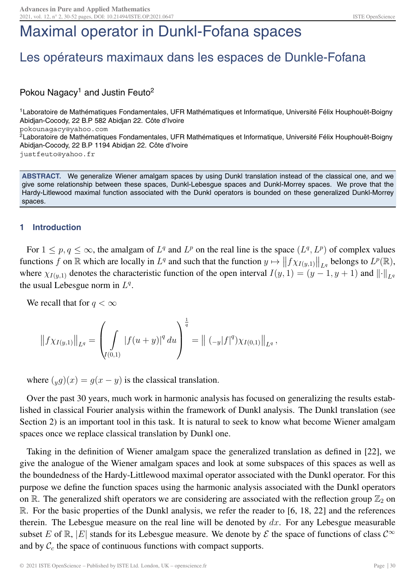# Maximal operator in Dunkl-Fofana spaces

## Les opérateurs maximaux dans les espaces de Dunkle-Fofana

### Pokou Nagacy<sup>1</sup> and Justin Feuto<sup>2</sup>

<sup>1</sup> Laboratoire de Mathématiques Fondamentales, UFR Mathématiques et Informatique, Université Félix Houphouët-Boigny Abidjan-Cocody, 22 B.P 582 Abidjan 22. Côte d'Ivoire pokounagacy@yahoo.com <sup>2</sup>Laboratoire de Mathématiques Fondamentales, UFR Mathématiques et Informatique, Université Félix Houphouët-Boigny

Abidjan-Cocody, 22 B.P 1194 Abidjan 22. Côte d'Ivoire justfeuto@yahoo.fr

**ABSTRACT.** We generalize Wiener amalgam spaces by using Dunkl translation instead of the classical one, and we give some relationship between these spaces, Dunkl-Lebesgue spaces and Dunkl-Morrey spaces. We prove that the Hardy-Litlewood maximal function associated with the Dunkl operators is bounded on these generalized Dunkl-Morrey spaces.

### **1 Introduction**

For  $1 \leq p, q \leq \infty$ , the amalgam of  $L^q$  and  $L^p$  on the real line is the space  $(L^q, L^p)$  of complex values functions f on R which are locally in  $L^q$  and such that the function  $y \mapsto ||f \chi_{I(y,1)}||$  $L_q$  belongs to  $L^p(\mathbb{R}),$ <br> $\frac{1}{p}$ ,  $\frac{1}{p}$ ,  $\frac{1}{p}$ ,  $\frac{1}{p}$ ,  $\frac{1}{p}$ where  $\chi_{I(y,1)}$  denotes the characteristic function of the open interval  $I(y, 1) = (y - 1, y + 1)$  and  $\lVert \cdot \rVert_{L^q}$ the usual Lebesgue norm in  $L^q$ .

We recall that for  $q < \infty$ 

$$
||f\chi_{I(y,1)}||_{L^q} = \left(\int_{I(0,1)} |f(u+y)|^q du\right)^{\frac{1}{q}} = ||(-y|f|^q)\chi_{I(0,1)}||_{L^q},
$$

where  $(yg)(x) = g(x - y)$  is the classical translation.

Over the past 30 years, much work in harmonic analysis has focused on generalizing the results established in classical Fourier analysis within the framework of Dunkl analysis. The Dunkl translation (see Section 2) is an important tool in this task. It is natural to seek to know what become Wiener amalgam spaces once we replace classical translation by Dunkl one.

Taking in the definition of Wiener amalgam space the generalized translation as defined in [22], we give the analogue of the Wiener amalgam spaces and look at some subspaces of this spaces as well as the boundedness of the Hardy-Littlewood maximal operator associated with the Dunkl operator. For this purpose we define the function spaces using the harmonic analysis associated with the Dunkl operators on R. The generalized shift operators we are considering are associated with the reflection group  $\mathbb{Z}_2$  on R. For the basic properties of the Dunkl analysis, we refer the reader to [6, 18, 22] and the references therein. The Lebesgue measure on the real line will be denoted by  $dx$ . For any Lebesgue measurable subset E of R, |E| stands for its Lebesgue measure. We denote by  $\mathcal E$  the space of functions of class  $\mathcal C^{\infty}$ and by  $\mathcal{C}_c$  the space of continuous functions with compact supports.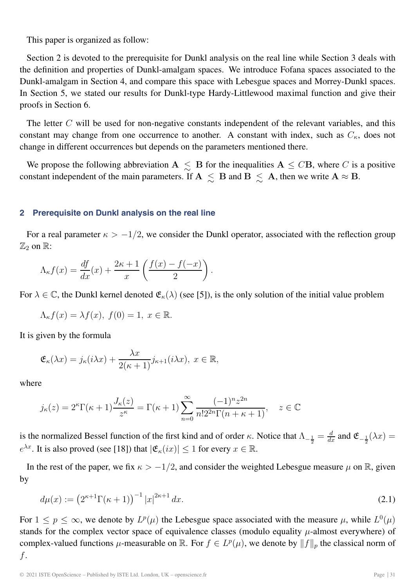This paper is organized as follow:

Section 2 is devoted to the prerequisite for Dunkl analysis on the real line while Section 3 deals with the definition and properties of Dunkl-amalgam spaces. We introduce Fofana spaces associated to the Dunkl-amalgam in Section 4, and compare this space with Lebesgue spaces and Morrey-Dunkl spaces. In Section 5, we stated our results for Dunkl-type Hardy-Littlewood maximal function and give their proofs in Section 6.

The letter  $C$  will be used for non-negative constants independent of the relevant variables, and this constant may change from one occurrence to another. A constant with index, such as  $C_{\kappa}$ , does not change in different occurrences but depends on the parameters mentioned there.

We propose the following abbreviation  $A \leq B$  for the inequalities  $A \leq C B$ , where C is a positive constant independent of the main parameters. If  $A \leq B$  and  $B \leq A$ , then we write  $A \approx B$ .

### **2 Prerequisite on Dunkl analysis on the real line**

For a real parameter  $\kappa > -1/2$ , we consider the Dunkl operator, associated with the reflection group  $\mathbb{Z}_2$  on  $\mathbb{R}$ :

$$
\Lambda_{\kappa} f(x) = \frac{df}{dx}(x) + \frac{2\kappa + 1}{x} \left( \frac{f(x) - f(-x)}{2} \right).
$$

For  $\lambda \in \mathbb{C}$ , the Dunkl kernel denoted  $\mathfrak{E}_{\kappa}(\lambda)$  (see [5]), is the only solution of the initial value problem

$$
\Lambda_{\kappa}f(x) = \lambda f(x), \ f(0) = 1, \ x \in \mathbb{R}.
$$

It is given by the formula

$$
\mathfrak{E}_{\kappa}(\lambda x) = j_{\kappa}(i\lambda x) + \frac{\lambda x}{2(\kappa+1)} j_{\kappa+1}(i\lambda x), \ x \in \mathbb{R},
$$

where

$$
j_{\kappa}(z) = 2^{\kappa} \Gamma(\kappa + 1) \frac{J_{\kappa}(z)}{z^{\kappa}} = \Gamma(\kappa + 1) \sum_{n=0}^{\infty} \frac{(-1)^n z^{2n}}{n! 2^{2n} \Gamma(n + \kappa + 1)}, \quad z \in \mathbb{C}
$$

is the normalized Bessel function of the first kind and of order κ. Notice that  $\Lambda_{-\frac{1}{2}} = \frac{d}{dx}$  and  $\mathfrak{E}_{-\frac{1}{2}}(\lambda x) =$  $e^{\lambda x}$ . It is also proved (see [18]) that  $|\mathfrak{E}_{\kappa}(ix)| \leq 1$  for every  $x \in \mathbb{R}$ .

In the rest of the paper, we fix  $\kappa > -1/2$ , and consider the weighted Lebesgue measure  $\mu$  on R, given by

$$
d\mu(x) := \left(2^{\kappa+1}\Gamma(\kappa+1)\right)^{-1}|x|^{2\kappa+1}dx.
$$
\n(2.1)

For  $1 \le p \le \infty$ , we denote by  $L^p(\mu)$  the Lebesgue space associated with the measure  $\mu$ , while  $L^0(\mu)$ stands for the complex vector space of equivalence classes (modulo equality  $\mu$ -almost everywhere) of complex-valued functions  $\mu$ -measurable on R. For  $f \in L^p(\mu)$ , we denote by  $||f||_p$  the classical norm of f.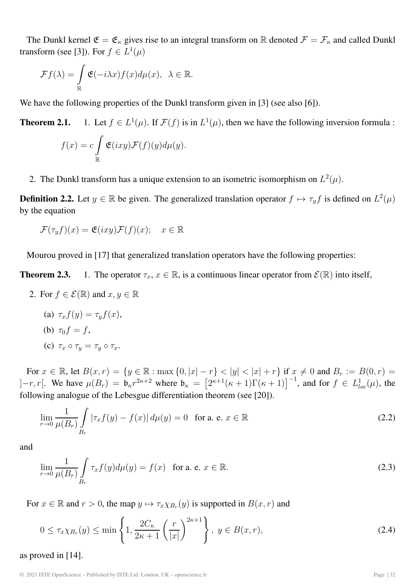The Dunkl kernel  $\mathfrak{E} = \mathfrak{E}_{\kappa}$  gives rise to an integral transform on R denoted  $\mathcal{F} = \mathcal{F}_{\kappa}$  and called Dunkl transform (see [3]). For  $f \in L^1(\mu)$ 

$$
\mathcal{F}f(\lambda) = \int_{\mathbb{R}} \mathfrak{E}(-i\lambda x) f(x) d\mu(x), \ \lambda \in \mathbb{R}.
$$

We have the following properties of the Dunkl transform given in [3] (see also [6]).

**Theorem 2.1.** 1. Let  $f \in L^1(\mu)$ . If  $\mathcal{F}(f)$  is in  $L^1(\mu)$ , then we have the following inversion formula :

$$
f(x) = c \int_{\mathbb{R}} \mathfrak{E}(ixy) \mathcal{F}(f)(y) d\mu(y).
$$

2. The Dunkl transform has a unique extension to an isometric isomorphism on  $L^2(\mu)$ .

**Definition 2.2.** Let  $y \in \mathbb{R}$  be given. The generalized translation operator  $f \mapsto \tau_y f$  is defined on  $L^2(\mu)$ by the equation

$$
\mathcal{F}(\tau_y f)(x) = \mathfrak{E}(ixy)\mathcal{F}(f)(x); \quad x \in \mathbb{R}
$$

Mourou proved in [17] that generalized translation operators have the following properties:

**Theorem 2.3.** 1. The operator  $\tau_x, x \in \mathbb{R}$ , is a continuous linear operator from  $\mathcal{E}(\mathbb{R})$  into itself,

- 2. For  $f \in \mathcal{E}(\mathbb{R})$  and  $x, y \in \mathbb{R}$ 
	- (a)  $\tau_x f(y) = \tau_y f(x)$ , (b)  $\tau_0 f = f$ , (c)  $\tau_x \circ \tau_y = \tau_y \circ \tau_x$ .

For  $x \in \mathbb{R}$ , let  $B(x, r) = \{y \in \mathbb{R} : \max\{0, |x| - r\} < |y| < |x| + r\}$  if  $x \neq 0$  and  $B_r := B(0, r) =$  $]-r, r[$ . We have  $\mu(B_r) = \mathfrak{b}_{\kappa} r^{2\kappa+2}$  where  $\mathfrak{b}_{\kappa} = [2^{\kappa+1}(\kappa+1)\Gamma(\kappa+1)]^{-1}$ , and for  $f \in L^1_{loc}(\mu)$ , the following analogue of the Labosque differentiation theorem (see [201). following analogue of the Lebesgue differentiation theorem (see [20]).

$$
\lim_{r \to 0} \frac{1}{\mu(B_r)} \int_{B_r} |\tau_x f(y) - f(x)| d\mu(y) = 0 \text{ for a. e. } x \in \mathbb{R}
$$
 (2.2)

and

$$
\lim_{r \to 0} \frac{1}{\mu(B_r)} \int_{B_r} \tau_x f(y) d\mu(y) = f(x) \quad \text{for a. e. } x \in \mathbb{R}.
$$
\n(2.3)

For  $x \in \mathbb{R}$  and  $r > 0$ , the map  $y \mapsto \tau_x \chi_{B_r}(y)$  is supported in  $B(x, r)$  and

$$
0 \le \tau_x \chi_{B_r}(y) \le \min\left\{1, \frac{2C_\kappa}{2\kappa + 1} \left(\frac{r}{|x|}\right)^{2\kappa + 1}\right\}, \ y \in B(x, r),\tag{2.4}
$$

as proved in [14].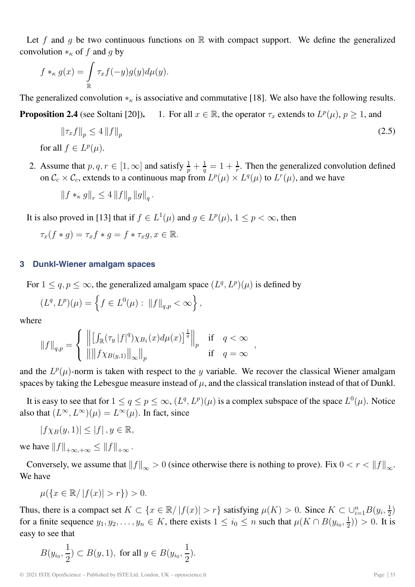Let f and g be two continuous functions on  $\mathbb R$  with compact support. We define the generalized convolution  $*_{\kappa}$  of f and g by

$$
f *_{\kappa} g(x) = \int_{\mathbb{R}} \tau_x f(-y) g(y) d\mu(y).
$$

The generalized convolution  $*_\kappa$  is associative and commutative [18]. We also have the following results.

**Proposition 2.4** (see Soltani [20]). 1. For all  $x \in \mathbb{R}$ , the operator  $\tau_x$  extends to  $L^p(\mu)$ ,  $p \ge 1$ , and

$$
\|\tau_x f\|_p \le 4 \|f\|_p \tag{2.5}
$$
  
for all  $f \in L^p(\mu)$ .

2. Assume that  $p, q, r \in [1, \infty]$  and satisfy  $\frac{1}{p} + \frac{1}{q} = 1 + \frac{1}{r}$ . Then the generalized convolution defined on  $\mathcal{C}_c \times \mathcal{C}_c$ , extends to a continuous map from  $L^p(\mu) \times L^q(\mu)$  to  $L^r(\mu)$ , and we have

$$
||f *_{\kappa} g||_{r} \le 4 ||f||_{p} ||g||_{q}.
$$

It is also proved in [13] that if  $f \in L^1(\mu)$  and  $g \in L^p(\mu)$ ,  $1 \leq p < \infty$ , then

$$
\tau_x(f*g) = \tau_x f*g = f*\tau_x g, x \in \mathbb{R}.
$$

### **3 Dunkl-Wiener amalgam spaces**

For  $1 \le q, p \le \infty$ , the generalized amalgam space  $(L^q, L^p)(\mu)$  is defined by

$$
(L^{q}, L^{p})(\mu) = \left\{ f \in L^{0}(\mu) : ||f||_{q, p} < \infty \right\},\,
$$

where

$$
||f||_{q,p} = \begin{cases} || [ \int_{\mathbb{R}} (\tau_y |f|^q) \chi_{B_1}(x) d\mu(x) ]^{\frac{1}{q}} ||_p & \text{if } q < \infty \\ || || f \chi_{B(y,1)} ||_{\infty} ||_p & \text{if } q = \infty \end{cases}
$$

and the  $L^p(\mu)$ -norm is taken with respect to the y variable. We recover the classical Wiener amalgam spaces by taking the Lebesgue measure instead of  $\mu$ , and the classical translation instead of that of Dunkl.

It is easy to see that for  $1 \le q \le p \le \infty$ ,  $(L^q, L^p)(\mu)$  is a complex subspace of the space  $L^0(\mu)$ . Notice also that  $(L^{\infty}, L^{\infty})(\mu) = L^{\infty}(\mu)$ . In fact, since

 $|f\chi_B(y, 1)| \leq |f|, y \in \mathbb{R},$ 

we have  $||f||_{+\infty,+\infty} \leq ||f||_{+\infty}$ .

Conversely, we assume that  $||f||_{\infty} > 0$  (since otherwise there is nothing to prove). Fix  $0 < r < ||f||_{\infty}$ . We have

$$
\mu({x \in \mathbb{R} / |f(x)| > r}) > 0.
$$

Thus, there is a compact set  $K \subset \{x \in \mathbb{R}/|f(x)| > r\}$  satisfying  $\mu(K) > 0$ . Since  $K \subset \bigcup_{i=1}^{n} B(y_i, \frac{1}{2})$  for a finite sequence  $y_i$ ,  $y_i \in K$  there exists  $1 \le i \le n$  such that  $\mu(K \cap B(y_i, \frac{1}{2})) > 0$ . It is for a finite sequence  $y_1, y_2, ..., y_n \in K$ , there exists  $1 \le i_0 \le n$  such that  $\mu(K \cap B(y_{i_0}, \frac{1}{2})) > 0$ . It is easy to see that

$$
B(y_{i_0}, \frac{1}{2}) \subset B(y, 1)
$$
, for all  $y \in B(y_{i_0}, \frac{1}{2})$ .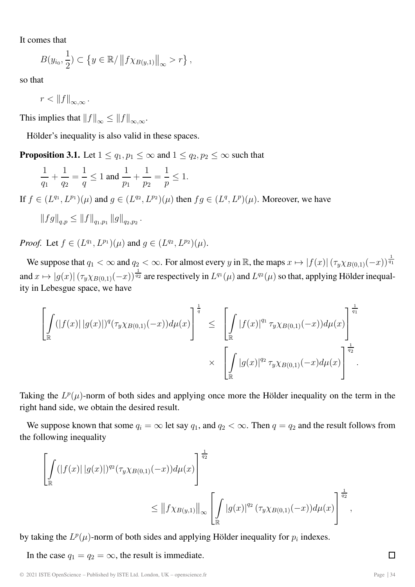It comes that

$$
B(y_{i_0},\frac{1}{2})\subset \left\{y\in\mathbb{R}/\left\|f\chi_{B(y,1)}\right\|_{\infty}>r\right\},\
$$

so that

 $r < ||f||_{\infty,\infty}$ .

This implies that  $||f||_{\infty} \leq ||f||_{\infty} \infty$ .

Hölder's inequality is also valid in these spaces.

**Proposition 3.1.** Let  $1 \le q_1, p_1 \le \infty$  and  $1 \le q_2, p_2 \le \infty$  such that

$$
\frac{1}{q_1} + \frac{1}{q_2} = \frac{1}{q} \le 1 \text{ and } \frac{1}{p_1} + \frac{1}{p_2} = \frac{1}{p} \le 1.
$$

If  $f \in (L^{q_1}, L^{p_1})(\mu)$  and  $g \in (L^{q_2}, L^{p_2})(\mu)$  then  $fg \in (L^q, L^p)(\mu)$ . Moreover, we have

$$
||fg||_{q,p} \leq ||f||_{q_1,p_1} ||g||_{q_2,p_2}.
$$

*Proof.* Let  $f \in (L^{q_1}, L^{p_1})(\mu)$  and  $q \in (L^{q_2}, L^{p_2})(\mu)$ .

We suppose that  $q_1 < \infty$  and  $q_2 < \infty$ . For almost every y in R, the maps  $x \mapsto |f(x)| (\tau_y \chi_{B(0,1)}(-x))^{\frac{1}{q_1}}$ and  $x \mapsto |g(x)| (\tau_y \chi_{B(0,1)}(-x))^{\frac{1}{q_2}}$  are respectively in  $L^{q_1}(\mu)$  and  $L^{q_2}(\mu)$  so that, applying Hölder inequality in Lebesgue space, we have

$$
\left[\int_{\mathbb{R}} (|f(x)||g(x)|)^{q} (\tau_{y}\chi_{B(0,1)}(-x))d\mu(x)\right]^{\frac{1}{q}} \leq \left[\int_{\mathbb{R}} |f(x)|^{q_1} \tau_{y}\chi_{B(0,1)}(-x))d\mu(x)\right]^{\frac{1}{q_1}} \times \left[\int_{\mathbb{R}} |g(x)|^{q_2} \tau_{y}\chi_{B(0,1)}(-x)d\mu(x)\right]^{\frac{1}{q_2}}.
$$

Taking the  $L^p(\mu)$ -norm of both sides and applying once more the Hölder inequality on the term in the right hand side, we obtain the desired result.

We suppose known that some  $q_i = \infty$  let say  $q_1$ , and  $q_2 < \infty$ . Then  $q = q_2$  and the result follows from the following inequality

$$
\left[\int_{\mathbb{R}} (|f(x)| |g(x)|)^{q_2} (\tau_y \chi_{B(0,1)}(-x)) d\mu(x)\right]^{\frac{1}{q_2}}\n\leq ||f \chi_{B(y,1)}||_{\infty} \left[\int_{\mathbb{R}} |g(x)|^{q_2} (\tau_y \chi_{B(0,1)}(-x)) d\mu(x)\right]^{\frac{1}{q_2}},
$$

by taking the  $L^p(\mu)$ -norm of both sides and applying Hölder inequality for  $p_i$  indexes.

In the case  $q_1 = q_2 = \infty$ , the result is immediate.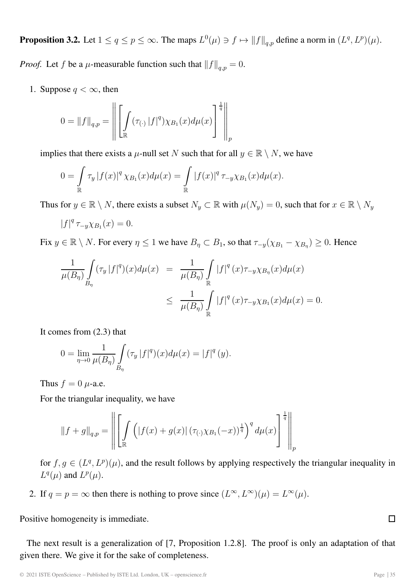**Proposition 3.2.** Let  $1 \le q \le p \le \infty$ . The maps  $L^0(\mu) \ni f \mapsto ||f||_{q,p}$  define a norm in  $(L^q, L^p)(\mu)$ .

*Proof.* Let f be a  $\mu$ -measurable function such that  $||f||_{q,p} = 0$ .

1. Suppose  $q < \infty$ , then

$$
0 = ||f||_{q,p} = \left\| \left[ \int_{\mathbb{R}} (\tau_{(\cdot)} |f|^q) \chi_{B_1}(x) d\mu(x) \right]^{\frac{1}{q}} \right\|_{p}
$$

implies that there exists a  $\mu$ -null set N such that for all  $y \in \mathbb{R} \setminus N$ , we have

$$
0 = \int_{\mathbb{R}} \tau_{y} |f(x)|^{q} \chi_{B_{1}}(x) d\mu(x) = \int_{\mathbb{R}} |f(x)|^{q} \tau_{-y} \chi_{B_{1}}(x) d\mu(x).
$$

Thus for  $y \in \mathbb{R} \setminus N$ , there exists a subset  $N_y \subset \mathbb{R}$  with  $\mu(N_y)=0$ , such that for  $x \in \mathbb{R} \setminus N_y$ 

$$
|f|^q \tau_{-y} \chi_{B_1}(x) = 0.
$$

Fix  $y \in \mathbb{R} \setminus N$ . For every  $\eta \leq 1$  we have  $B_{\eta} \subset B_1$ , so that  $\tau_{-y}(\chi_{B_1} - \chi_{B_1}) \geq 0$ . Hence

$$
\frac{1}{\mu(B_{\eta})} \int_{B_{\eta}} (\tau_y |f|^q)(x) d\mu(x) = \frac{1}{\mu(B_{\eta})} \int_{\mathbb{R}} |f|^q(x) \tau_{-y} \chi_{B_{\eta}}(x) d\mu(x)
$$
\n
$$
\leq \frac{1}{\mu(B_{\eta})} \int_{\mathbb{R}} |f|^q(x) \tau_{-y} \chi_{B_1}(x) d\mu(x) = 0.
$$

It comes from (2.3) that

$$
0 = \lim_{\eta \to 0} \frac{1}{\mu(B_{\eta})} \int_{B_{\eta}} (\tau_y |f|^q)(x) d\mu(x) = |f|^q(y).
$$

Thus  $f = 0$   $\mu$ -a.e.

For the triangular inequality, we have

$$
\|f + g\|_{q,p} = \left\| \left[ \int_{\mathbb{R}} \left( |f(x) + g(x)| (\tau_{(\cdot)} \chi_{B_1}(-x))^{\frac{1}{q}} \right)^q d\mu(x) \right]^{\frac{1}{q}} \right\|_{p}
$$

for  $f, g \in (L^q, L^p)(\mu)$ , and the result follows by applying respectively the triangular inequality in  $L^q(\mu)$  and  $L^p(\mu)$ .

2. If  $q = p = \infty$  then there is nothing to prove since  $(L^{\infty}, L^{\infty})(\mu) = L^{\infty}(\mu)$ .

Positive homogeneity is immediate.

The next result is a generalization of [7, Proposition 1.2.8]. The proof is only an adaptation of that given there. We give it for the sake of completeness.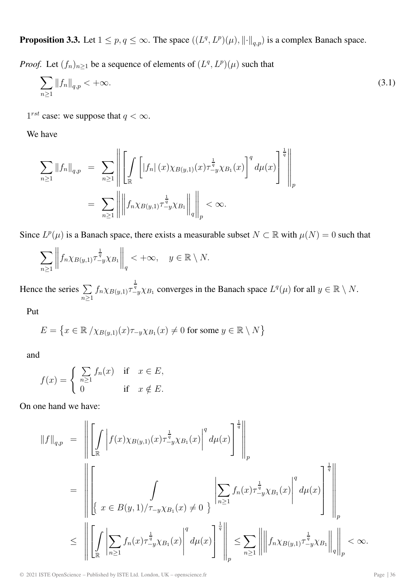**Proposition 3.3.** Let  $1 \leq p, q \leq \infty$ . The space  $((L^q, L^p)(\mu), ||\cdot||_{q,p})$  is a complex Banach space.

*Proof.* Let  $(f_n)_{n\geq 1}$  be a sequence of elements of  $(L^q, L^p)(\mu)$  such that

$$
\sum_{n\geq 1} \|f_n\|_{q,p} < +\infty. \tag{3.1}
$$

 $1^{rst}$  case: we suppose that  $q < \infty$ .

We have

$$
\sum_{n\geq 1} ||f_n||_{q,p} = \sum_{n\geq 1} \left\| \left[ \int_{\mathbb{R}} \left[ |f_n| (x) \chi_{B(y,1)}(x) \tau_{-y}^{\frac{1}{q}} \chi_{B_1}(x) \right]^q d\mu(x) \right]^{\frac{1}{q}} \right\|_p
$$
  
= 
$$
\sum_{n\geq 1} \left\| \left\| f_n \chi_{B(y,1)} \tau_{-y}^{\frac{1}{q}} \chi_{B_1} \right\|_q \right\|_p < \infty.
$$

Since  $L^p(\mu)$  is a Banach space, there exists a measurable subset  $N \subset \mathbb{R}$  with  $\mu(N) = 0$  such that

$$
\sum_{n\geq 1}\left\|f_n\chi_{B(y,1)}\tau_{-y}^{\frac{1}{q}}\chi_{B_1}\right\|_q < +\infty, \quad y \in \mathbb{R}\setminus N.
$$

Hence the series  $\sum$  $\sum_{n\geq 1}$  $f_n \chi_{B(y,1)} \tau_{-y}^{\frac{1}{q}} \chi_{B_1}$  converges in the Banach space  $L^q(\mu)$  for all  $y \in \mathbb{R} \setminus N$ .

Put

$$
E = \{ x \in \mathbb{R} / \chi_{B(y,1)}(x) \tau_{-y} \chi_{B_1}(x) \neq 0 \text{ for some } y \in \mathbb{R} \setminus N \}
$$

and

$$
f(x) = \begin{cases} \sum_{n\geq 1} f_n(x) & \text{if } x \in E, \\ 0 & \text{if } x \notin E. \end{cases}
$$

On one hand we have:

$$
||f||_{q,p} = \left\| \left[ \int_{\mathbb{R}} \left| f(x) \chi_{B(y,1)}(x) \tau_{-y}^{\frac{1}{q}} \chi_{B_1}(x) \right|^q d\mu(x) \right]^{\frac{1}{q}} \right\|_p
$$
  
\n
$$
= \left\| \left[ \int_{\mathbb{R}} \int_{\mathbb{R}} f(x) \chi_{B(y,1)}(x) \tau_{-y} \chi_{B_1}(x) dx \right]^q \right\|_{n \ge 1} \le f_n(x) \tau_{-y}^{\frac{1}{q}} \chi_{B_1}(x) \left\| \left[ \int_{\mathbb{R}} f(x) \chi_{B(y,1)}(x) \right]^q d\mu(x) \right]^{\frac{1}{q}} \right\|_p
$$
  
\n
$$
\le \left\| \left[ \int_{\mathbb{R}} \left| \sum_{n \ge 1} f_n(x) \tau_{-y}^{\frac{1}{q}} \chi_{B_1}(x) \right|^q d\mu(x) \right]^{\frac{1}{q}} \right\|_p \le \sum_{n \ge 1} \left\| \left\| f_n \chi_{B(y,1)} \tau_{-y}^{\frac{1}{q}} \chi_{B_1} \right\|_q \right\|_p < \infty.
$$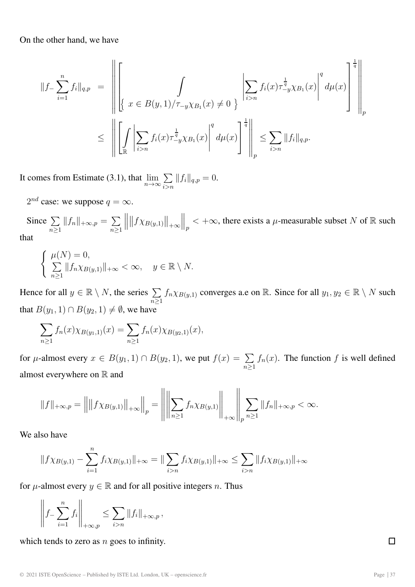On the other hand, we have

$$
||f_{-}\sum_{i=1}^{n} f_{i}||_{q,p} = \left\| \left[ \int_{\{\infty} x \in B(y,1)/\tau_{-y}\chi_{B_{1}}(x) \neq 0\} \left| \sum_{i>n} f_{i}(x)\tau_{-y}^{\frac{1}{q}}\chi_{B_{1}}(x) \right|^{q} d\mu(x) \right]^{\frac{1}{q}} \right\|_{p} \leq \left\| \left[ \int_{\mathbb{R}} \left| \sum_{i>n} f_{i}(x)\tau_{-y}^{\frac{1}{q}}\chi_{B_{1}}(x) \right|^{q} d\mu(x) \right]^{\frac{1}{q}} \right\|_{p} \leq \sum_{i>n} ||f_{i}||_{q,p}.
$$

It comes from Estimate (3.1), that  $\lim_{n\to\infty} \sum_{i>n}$  $\sum_{i>n} ||f_i||_{q,p} = 0.$ 

 $2^{nd}$  case: we suppose  $q = \infty$ .

Since  $\sum$  $\sum_{n\geq 1} ||f_n||_{+\infty,p} = \sum_{n\geq 1}$  $\| \| f \chi_{B(y,1)} \|_{+\infty}$  $\Big\|_p < +\infty$ , there exists a  $\mu$ -measurable subset N of R such that

$$
\begin{cases} \mu(N) = 0, \\ \sum_{n \ge 1} ||f_n \chi_{B(y,1)}||_{+\infty} < \infty, \quad y \in \mathbb{R} \setminus N. \end{cases}
$$

Hence for all  $y \in \mathbb{R} \setminus N$ , the series  $\sum$  $n\geq 1$  $f_n \chi_{B(y,1)}$  converges a.e on R. Since for all  $y_1, y_2 \in \mathbb{R} \setminus N$  such that  $B(y_1, 1) \cap B(y_2, 1) \neq \emptyset$ , we have

$$
\sum_{n\geq 1} f_n(x) \chi_{B(y_1,1)}(x) = \sum_{n\geq 1} f_n(x) \chi_{B(y_2,1)}(x),
$$

for  $\mu$ -almost every  $x \in B(y_1, 1) \cap B(y_2, 1)$ , we put  $f(x) = \sum_{n \ge 1} f_n(x)$ . The function f is well defined almost everywhere on  $\mathbb R$  and

$$
||f||_{+\infty,p} = ||||f\chi_{B(y,1)}||_{+\infty}||_p = ||\left||\sum_{n\geq 1} f_n \chi_{B(y,1)}\right||_{+\infty} ||_p \sum_{n\geq 1} ||f_n||_{+\infty,p} < \infty.
$$

We also have

$$
||f\chi_{B(y,1)} - \sum_{i=1}^n f_i \chi_{B(y,1)}||_{+\infty} = ||\sum_{i>n} f_i \chi_{B(y,1)}||_{+\infty} \le \sum_{i>n} ||f_i \chi_{B(y,1)}||_{+\infty}
$$

for  $\mu$ -almost every  $y \in \mathbb{R}$  and for all positive integers n. Thus

$$
\left\| f_{-} \sum_{i=1}^{n} f_{i} \right\|_{+\infty,p} \leq \sum_{i>n} \|f_{i}\|_{+\infty,p},
$$

which tends to zero as  $n$  goes to infinity.

© 2021 ISTE OpenScience – Published by ISTE Ltd. London, UK – openscience.fr Page | 37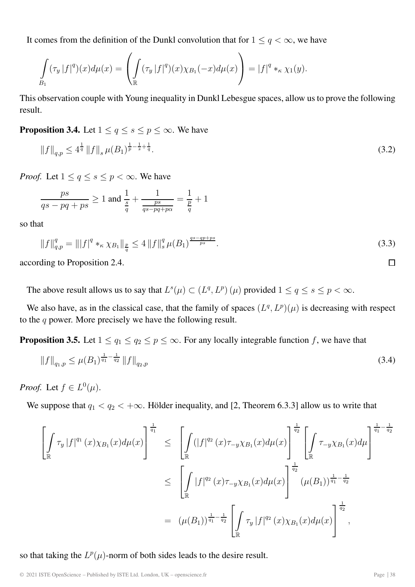It comes from the definition of the Dunkl convolution that for  $1 \le q < \infty$ , we have

$$
\int_{B_1} (\tau_y |f|^q)(x) d\mu(x) = \left( \int_{\mathbb{R}} (\tau_y |f|^q)(x) \chi_{B_1}(-x) d\mu(x) \right) = |f|^q *_{\kappa} \chi_1(y).
$$

This observation couple with Young inequality in Dunkl Lebesgue spaces, allow us to prove the following result.

**Proposition 3.4.** Let  $1 \le q \le s \le p \le \infty$ . We have

$$
||f||_{q,p} \le 4^{\frac{1}{q}} ||f||_{s} \,\mu(B_1)^{\frac{1}{p}-\frac{1}{s}+\frac{1}{q}}.
$$
\n(3.2)

*Proof.* Let  $1 \le q \le s \le p < \infty$ . We have

$$
\frac{ps}{qs - pq + ps} \ge 1
$$
 and 
$$
\frac{1}{\frac{s}{q}} + \frac{1}{\frac{ps}{qs - pq + p\alpha}} = \frac{1}{\frac{p}{q}} + 1
$$

so that

$$
||f||_{q,p}^{q} = |||f|^{q} *_{\kappa} \chi_{B_1}||_{\frac{p}{q}} \le 4 ||f||_{s}^{q} \mu(B_1)^{\frac{qs-qp+ps}{ps}}.
$$
\n(3.3)

according to Proposition 2.4.

The above result allows us to say that  $L^s(\mu) \subset (L^q, L^p)(\mu)$  provided  $1 \le q \le s \le p < \infty$ .

We also have, as in the classical case, that the family of spaces  $(L^q, L^p)(\mu)$  is decreasing with respect to the  $q$  power. More precisely we have the following result.

**Proposition 3.5.** Let  $1 \le q_1 \le q_2 \le p \le \infty$ . For any locally integrable function f, we have that

$$
\|f\|_{q_1,p} \le \mu(B_1)^{\frac{1}{q_1} - \frac{1}{q_2}} \|f\|_{q_2,p} \tag{3.4}
$$

*Proof.* Let  $f \in L^0(\mu)$ .

We suppose that  $q_1 < q_2 < +\infty$ . Hölder inequality, and [2, Theorem 6.3.3] allow us to write that

$$
\left[\int_{\mathbb{R}} \tau_{y} |f|^{q_{1}}(x) \chi_{B_{1}}(x) d\mu(x)\right]^{\frac{1}{q_{1}}} \leq \left[\int_{\mathbb{R}} (|f|^{q_{2}}(x)\tau_{-y}\chi_{B_{1}}(x) d\mu(x))\right]^{\frac{1}{q_{2}}} \left[\int_{\mathbb{R}} \tau_{-y}\chi_{B_{1}}(x) d\mu\right]^{\frac{1}{q_{1}} - \frac{1}{q_{2}}} \leq \left[\int_{\mathbb{R}} |f|^{q_{2}}(x)\tau_{-y}\chi_{B_{1}}(x) d\mu(x)\right]^{\frac{1}{q_{2}}} (\mu(B_{1}))^{\frac{1}{q_{1}} - \frac{1}{q_{2}}} \n= (\mu(B_{1}))^{\frac{1}{q_{1}} - \frac{1}{q_{2}}} \left[\int_{\mathbb{R}} \tau_{y} |f|^{q_{2}}(x)\chi_{B_{1}}(x) d\mu(x)\right]^{\frac{1}{q_{2}}},
$$

so that taking the  $L^p(\mu)$ -norm of both sides leads to the desire result.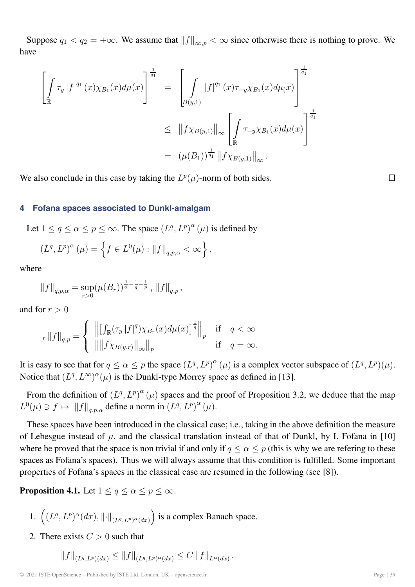Suppose  $q_1 < q_2 = +\infty$ . We assume that  $||f||_{\infty, p} < \infty$  since otherwise there is nothing to prove. We have

$$
\left[\int_{\mathbb{R}} \tau_{y} |f|^{q_{1}}(x) \chi_{B_{1}}(x) d\mu(x)\right]^{\frac{1}{q_{1}}} = \left[\int_{B(y,1)} |f|^{q_{1}}(x) \tau_{-y} \chi_{B_{1}}(x) d\mu(x)\right]^{\frac{1}{q_{1}}} \leq ||f \chi_{B(y,1)}||_{\infty} \left[\int_{\mathbb{R}} \tau_{-y} \chi_{B_{1}}(x) d\mu(x)\right]^{\frac{1}{q_{1}}} = (\mu(B_{1}))^{\frac{1}{q_{1}}} ||f \chi_{B(y,1)}||_{\infty}.
$$

We also conclude in this case by taking the  $L^p(\mu)$ -norm of both sides.

### $\Box$

#### **4 Fofana spaces associated to Dunkl-amalgam**

Let  $1 \le q \le \alpha \le p \le \infty$ . The space  $(L^q, L^p)^\alpha(\mu)$  is defined by

$$
(L^{q}, L^{p})^{\alpha}(\mu) = \left\{ f \in L^{0}(\mu) : ||f||_{q, p, \alpha} < \infty \right\},\
$$

where

$$
||f||_{q,p,\alpha} = \sup_{r>0} (\mu(B_r))^{\frac{1}{\alpha}-\frac{1}{q}-\frac{1}{p}} \, _r ||f||_{q,p},
$$

and for  $r > 0$ 

$$
||f||_{q,p} = \begin{cases} || [ \int_{\mathbb{R}} (\tau_y |f|^q) \chi_{B_r}(x) d\mu(x) ]^{\frac{1}{q}} ||_p & \text{if } q < \infty \\ || || f \chi_{B(y,r)} ||_\infty ||_p & \text{if } q = \infty. \end{cases}
$$

It is easy to see that for  $q \le \alpha \le p$  the space  $(L^q, L^p)^\alpha(\mu)$  is a complex vector subspace of  $(L^q, L^p)(\mu)$ .<br>Notice that  $(L^q, L^\infty)^\alpha(\mu)$  is the Dunkl tupe Merroy gross as defined in [12] Notice that  $(L^q, L^{\infty})^{\alpha}(\mu)$  is the Dunkl-type Morrey space as defined in [13].

From the definition of  $(L^q, L^p)^{\alpha} (\mu)$  spaces and the proof of Proposition 3.2, we deduce that the map  $L^0(\mu) \ni f \mapsto ||f||_{q,p,\alpha}$  define a norm in  $(L^q, L^p)^\alpha(\mu)$ .

These spaces have been introduced in the classical case; i.e., taking in the above definition the measure of Lebesgue instead of  $\mu$ , and the classical translation instead of that of Dunkl, by I. Fofana in [10] where he proved that the space is non trivial if and only if  $q \leq \alpha \leq p$  (this is why we are refering to these spaces as Fofana's spaces). Thus we will always assume that this condition is fulfilled. Some important properties of Fofana's spaces in the classical case are resumed in the following (see [8]).

**Proposition 4.1.** Let  $1 \leq q \leq \alpha \leq p \leq \infty$ .

1. 
$$
((L^q, L^p)^\alpha(dx), ||\cdot||_{(L^q, L^p)^\alpha(dx)})
$$
 is a complex Banach space.

2. There exists  $C > 0$  such that

$$
||f||_{(L^q, L^p)(dx)} \leq ||f||_{(L^q, L^p)^{\alpha}(dx)} \leq C ||f||_{L^{\alpha}(dx)}.
$$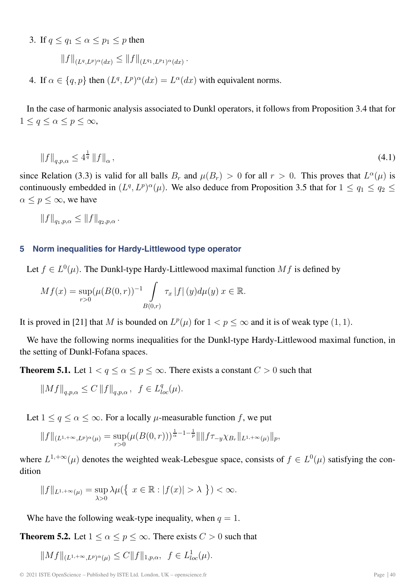3. If  $q \leq q_1 \leq \alpha \leq p_1 \leq p$  then

 $||f||_{(L^q L^p)^{\alpha}(dx)} \leq ||f||_{(L^q L^p L^p)^{\alpha}(dx)}.$ 

4. If  $\alpha \in \{q, p\}$  then  $(L^q, L^p)^\alpha(dx) = L^\alpha(dx)$  with equivalent norms.

In the case of harmonic analysis associated to Dunkl operators, it follows from Proposition 3.4 that for  $1 \le q \le \alpha \le p \le \infty$ ,

$$
\|f\|_{q,p,\alpha} \le 4^{\frac{1}{q}} \|f\|_{\alpha},\tag{4.1}
$$

since Relation (3.3) is valid for all balls  $B_r$  and  $\mu(B_r) > 0$  for all  $r > 0$ . This proves that  $L^{\alpha}(\mu)$  is continuously embedded in  $(L^q, L^p)^\alpha(\mu)$ . We also deduce from Proposition 3.5 that for  $1 \le q_1 \le q_2 \le$  $\alpha \leq p \leq \infty$ , we have

 $||f||_{q_1, p_0} \leq ||f||_{q_2, p_0}.$ 

### **5 Norm inequalities for Hardy-Littlewood type operator**

Let  $f \in L^{0}(\mu)$ . The Dunkl-type Hardy-Littlewood maximal function Mf is defined by

$$
Mf(x) = \sup_{r>0} (\mu(B(0,r))^{-1} \int\limits_{B(0,r)} \tau_x |f| (y) d\mu(y) \ x \in \mathbb{R}.
$$

It is proved in [21] that M is bounded on  $L^p(\mu)$  for  $1 < p \le \infty$  and it is of weak type  $(1, 1)$ .

We have the following norms inequalities for the Dunkl-type Hardy-Littlewood maximal function, in the setting of Dunkl-Fofana spaces.

**Theorem 5.1.** Let  $1 < q \le \alpha \le p \le \infty$ . There exists a constant  $C > 0$  such that

$$
||Mf||_{q,p,\alpha} \leq C ||f||_{q,p,\alpha}, \ \ f \in L_{loc}^q(\mu).
$$

Let  $1 \le q \le \alpha \le \infty$ . For a locally  $\mu$ -measurable function f, we put

$$
||f||_{(L^{1,+\infty},L^p)^{\alpha}(\mu)} = \sup_{r>0} (\mu(B(0,r)))^{\frac{1}{\alpha}-1-\frac{1}{p}} || ||f\tau_{-y}\chi_{B_r}||_{L^{1,+\infty}(\mu)}||_p,
$$

where  $L^{1,+\infty}(\mu)$  denotes the weighted weak-Lebesgue space, consists of  $f \in L^0(\mu)$  satisfying the condition

$$
||f||_{L^{1,+\infty}(\mu)} = \sup_{\lambda>0} \lambda \mu(\left\{x \in \mathbb{R} : |f(x)| > \lambda\right\}) < \infty.
$$

Whe have the following weak-type inequality, when  $q = 1$ .

**Theorem 5.2.** Let  $1 \le \alpha \le p \le \infty$ . There exists  $C > 0$  such that

 $||Mf||_{(L^{1,+\infty},L^p)^{\alpha}(\mu)} \leq C ||f||_{1,p,\alpha}, \ \ f \in L^1_{loc}(\mu).$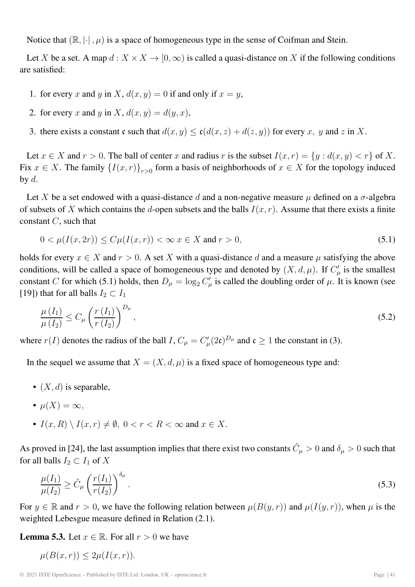Notice that  $(\mathbb{R}, |\cdot|, \mu)$  is a space of homogeneous type in the sense of Coifman and Stein.

Let X be a set. A map  $d: X \times X \to [0, \infty)$  is called a quasi-distance on X if the following conditions are satisfied:

- 1. for every x and y in X,  $d(x, y) = 0$  if and only if  $x = y$ ,
- 2. for every x and y in X,  $d(x, y) = d(y, x)$ ,
- 3. there exists a constant c such that  $d(x, y) \le c(d(x, z) + d(z, y))$  for every x, y and z in X.

Let  $x \in X$  and  $r > 0$ . The ball of center x and radius r is the subset  $I(x, r) = \{y : d(x, y) < r\}$  of X. Fix  $x \in X$ . The family  $\{I(x,r)\}_{r>0}$  form a basis of neighborhoods of  $x \in X$  for the topology induced by  $d$ .

Let X be a set endowed with a quasi-distance d and a non-negative measure  $\mu$  defined on a  $\sigma$ -algebra of subsets of X which contains the d-open subsets and the balls  $I(x, r)$ . Assume that there exists a finite constant  $C$ , such that

$$
0 < \mu(I(x, 2r)) \le C\mu(I(x, r)) < \infty \ x \in X \text{ and } r > 0,
$$
\n(5.1)

holds for every  $x \in X$  and  $r > 0$ . A set X with a quasi-distance d and a measure  $\mu$  satisfying the above conditions, will be called a space of homogeneous type and denoted by  $(X, d, \mu)$ . If  $C_{\mu}^{\prime}$  is the smallest constant C for which (5.1) holds, then  $D_{\mu} = \log_2 C'_{\mu}$  is called the doubling order of  $\mu$ . It is known (see [19]) that for all balls  $I_2 \subset I_1$ 

$$
\frac{\mu\left(I_{1}\right)}{\mu\left(I_{2}\right)} \leq C_{\mu} \left(\frac{r\left(I_{1}\right)}{r\left(I_{2}\right)}\right)^{D_{\mu}},\tag{5.2}
$$

where  $r(I)$  denotes the radius of the ball  $I$ ,  $C_{\mu} = C'_{\mu}(2c)^{D_{\mu}}$  and  $c \ge 1$  the constant in (3).

In the sequel we assume that  $X = (X, d, \mu)$  is a fixed space of homogeneous type and:

- $(X, d)$  is separable,
- $\mu(X) = \infty$ ,
- $I(x, R) \setminus I(x, r) \neq \emptyset$ ,  $0 < r < R < \infty$  and  $x \in X$ .

As proved in [24], the last assumption implies that there exist two constants  $\tilde{C}_{\mu} > 0$  and  $\delta_{\mu} > 0$  such that for all balls  $I_2 \subset I_1$  of X

$$
\frac{\mu(I_1)}{\mu(I_2)} \ge \tilde{C}_{\mu} \left(\frac{r(I_1)}{r(I_2)}\right)^{\delta_{\mu}}.\tag{5.3}
$$

For  $y \in \mathbb{R}$  and  $r > 0$ , we have the following relation between  $\mu(B(y, r))$  and  $\mu(I(y, r))$ , when  $\mu$  is the weighted Lebesgue measure defined in Relation (2.1).

**Lemma 5.3.** Let  $x \in \mathbb{R}$ . For all  $r > 0$  we have

$$
\mu(B(x,r)) \le 2\mu(I(x,r)).
$$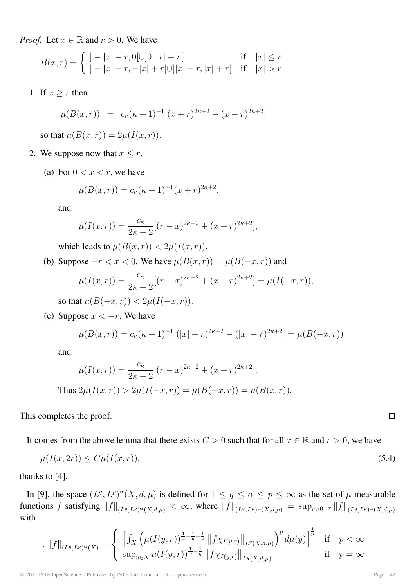*Proof.* Let  $x \in \mathbb{R}$  and  $r > 0$ . We have

$$
B(x,r) = \begin{cases} | - |x| - r, 0[ \cup ]0, |x| + r[ & \text{if } |x| \le r \\ | - |x| - r, -|x| + r[ \cup ]|x| - r, |x| + r[ & \text{if } |x| > r \end{cases}
$$

1. If  $x \geq r$  then

$$
\mu(B(x,r)) = c_{\kappa}(\kappa+1)^{-1}[(x+r)^{2\kappa+2} - (x-r)^{2\kappa+2}]
$$

so that  $\mu(B(x,r)) = 2\mu(I(x,r)).$ 

- 2. We suppose now that  $x \leq r$ .
	- (a) For  $0 < x < r$ , we have

$$
\mu(B(x,r)) = c_{\kappa}(\kappa + 1)^{-1}(x+r)^{2\kappa+2}.
$$

and

$$
\mu(I(x,r)) = \frac{c_{\kappa}}{2\kappa + 2} [(r - x)^{2\kappa + 2} + (x + r)^{2\kappa + 2}],
$$

which leads to  $\mu(B(x, r)) < 2\mu(I(x, r)).$ 

(b) Suppose  $-r < x < 0$ . We have  $\mu(B(x, r)) = \mu(B(-x, r))$  and

$$
\mu(I(x,r)) = \frac{c_{\kappa}}{2\kappa + 2} [(r - x)^{2\kappa + 2} + (x + r)^{2\kappa + 2}] = \mu(I(-x,r)),
$$
  
so that  $\mu(B(-x,r)) < 2\mu(I(-x,r)).$ 

(c) Suppose  $x < -r$ . We have

$$
\mu(B(x,r)) = c_{\kappa}(\kappa + 1)^{-1}[(|x| + r)^{2\kappa + 2} - (|x| - r)^{2\kappa + 2}] = \mu(B(-x,r))
$$

and

$$
\mu(I(x,r)) = \frac{c_{\kappa}}{2\kappa + 2} [(r - x)^{2\kappa + 2} + (x + r)^{2\kappa + 2}].
$$
  
Thus  $2\mu(I(x,r)) > 2\mu(I(-x,r)) = \mu(B(-x,r)) = \mu(B(x,r)).$ 

This completes the proof.

It comes from the above lemma that there exists  $C > 0$  such that for all  $x \in \mathbb{R}$  and  $r > 0$ , we have

$$
\mu(I(x,2r)) \le C\mu(I(x,r)),\tag{5.4}
$$

thanks to [4].

In [9], the space  $(L^q, L^p)^\alpha(X, d, \mu)$  is defined for  $1 \le q \le \alpha \le p \le \infty$  as the set of  $\mu$ -measurable functions f satisfying  $||f||_{(L^q,L^p)^{\alpha}(X,d,\mu)} < \infty$ , where  $||f||_{(L^q,L^p)^{\alpha}(X,d,\mu)} = \sup_{r>0} |f||_{(L^q,L^p)^{\alpha}(X,d,\mu)}$ with

$$
r \|f\|_{(L^{q}, L^{p})^{\alpha}(X)} = \begin{cases} \left[ \int_{X} \left( \mu(I(y, r))^{\frac{1}{\alpha} - \frac{1}{q} - \frac{1}{p}} \left\| f \chi_{I(y, r)} \right\|_{L^{q}(X, d, \mu)} \right)^{p} d\mu(y) \right]^{\frac{1}{p}} & \text{if } p < \infty \\ \sup_{y \in X} \mu(I(y, r))^{\frac{1}{\alpha} - \frac{1}{q}} \left\| f \chi_{I(y, r)} \right\|_{L^{q}(X, d, \mu)} & \text{if } p = \infty \end{cases}
$$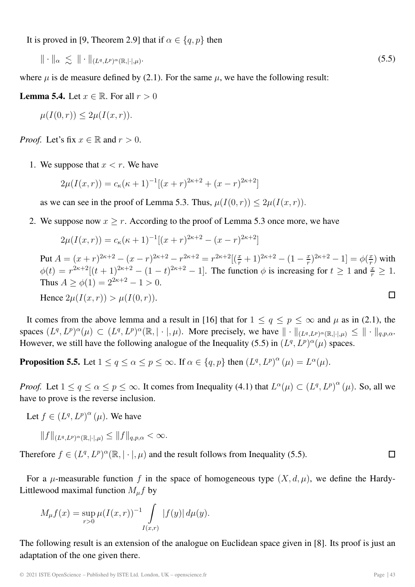It is proved in [9, Theorem 2.9] that if  $\alpha \in \{q, p\}$  then

 $\|\cdot\|_{\alpha} \leq \|\cdot\|_{(L^{q},L^{p})^{\alpha}(\mathbb{R},|\cdot|,\mu)}.$  (5.5)

where  $\mu$  is de measure defined by (2.1). For the same  $\mu$ , we have the following result:

**Lemma 5.4.** Let  $x \in \mathbb{R}$ . For all  $r > 0$ 

$$
\mu(I(0,r)) \leq 2\mu(I(x,r)).
$$

*Proof.* Let's fix  $x \in \mathbb{R}$  and  $r > 0$ .

1. We suppose that  $x < r$ . We have

$$
2\mu(I(x,r)) = c_{\kappa}(\kappa + 1)^{-1}[(x+r)^{2\kappa+2} + (x-r)^{2\kappa+2}]
$$

as we can see in the proof of Lemma 5.3. Thus,  $\mu(I(0,r)) \leq 2\mu(I(x,r))$ .

2. We suppose now  $x \ge r$ . According to the proof of Lemma 5.3 once more, we have

$$
2\mu(I(x,r)) = c_{\kappa}(\kappa + 1)^{-1}[(x+r)^{2\kappa+2} - (x-r)^{2\kappa+2}]
$$

Put  $A = (x + r)^{2\kappa+2} - (x - r)^{2\kappa+2} - r^{2\kappa+2} = r^{2\kappa+2} [(\frac{x}{r} + 1)^{2\kappa+2} - (1 - \frac{x}{r})^{2\kappa+2} - 1] = \phi(\frac{x}{r})$  with  $\phi(t) = r^{2\kappa+2}[(t+1)^{2\kappa+2} - (1-t)^{2\kappa+2} - 1]$ . The function  $\phi$  is increasing for  $t \ge 1$  and  $\frac{x}{r} \ge 1$ .<br>Thus  $A > \phi(1) = 2^{2\kappa+2} - 1 > 0$ Thus  $A > \phi(1) = 2^{2\kappa+2} - 1 > 0$ .  $\Box$ Hence  $2\mu(I(x,r)) > \mu(I(0,r)).$ 

It comes from the above lemma and a result in [16] that for  $1 \le q \le p \le \infty$  and  $\mu$  as in (2.1), the spaces  $(L^q, L^p)^\alpha(\mu) \subset (L^q, L^p)^\alpha(\mathbb{R}, |\cdot|, \mu)$ . More precisely, we have  $\|\cdot\|_{(L^q, L^p)^\alpha(\mathbb{R}, |\cdot|, \mu)} \leq \|\cdot\|_{q, p, \alpha}$ . However, we still have the following analogue of the Inequality (5.5) in  $(L^q, L^p)^\alpha(\mu)$  spaces.

**Proposition 5.5.** Let  $1 \le q \le \alpha \le p \le \infty$ . If  $\alpha \in \{q, p\}$  then  $(L^q, L^p)^\alpha (\mu) = L^\alpha(\mu)$ .

*Proof.* Let  $1 \le q \le \alpha \le p \le \infty$ . It comes from Inequality (4.1) that  $L^{\alpha}(\mu) \subset (L^{q}, L^{p})^{\alpha}(\mu)$ . So, all we have to prove is the reverse inclusion have to prove is the reverse inclusion.

Let  $f \in (L^q, L^p)^\alpha$  ( $\mu$ ). We have

$$
||f||_{(L^q,L^p)^{\alpha}(\mathbb{R},|\cdot|,\mu)} \leq ||f||_{q,p,\alpha} < \infty.
$$

Therefore  $f \in (L^q, L^p)^\alpha(\mathbb{R}, |\cdot|, \mu)$  and the result follows from Inequality (5.5).  $\Box$ 

For a  $\mu$ -measurable function f in the space of homogeneous type  $(X, d, \mu)$ , we define the Hardy-Littlewood maximal function  $M_{\mu}f$  by

$$
M_{\mu}f(x) = \sup_{r>0} \mu(I(x,r))^{-1} \int\limits_{I(x,r)} |f(y)| d\mu(y).
$$

The following result is an extension of the analogue on Euclidean space given in [8]. Its proof is just an adaptation of the one given there.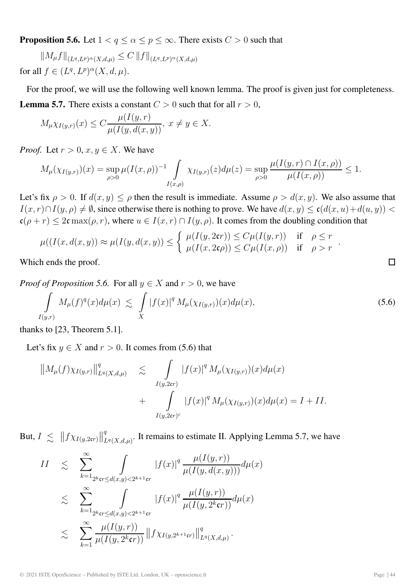**Proposition 5.6.** Let  $1 < q \le \alpha \le p \le \infty$ . There exists  $C > 0$  such that

 $||M_{\mu}f||_{(L^{q},L^{p})^{\alpha}(X,d,\mu)} \leq C ||f||_{(L^{q},L^{p})^{\alpha}(X,d,\mu)}$ for all  $f \in (L^q, L^p)^\alpha(X, d, \mu)$ .

For the proof, we will use the following well known lemma. The proof is given just for completeness. **Lemma 5.7.** There exists a constant  $C > 0$  such that for all  $r > 0$ ,

$$
M_{\mu}\chi_{I(y,r)}(x) \leq C \frac{\mu(I(y,r))}{\mu(I(y,d(x,y))}, x \neq y \in X.
$$

*Proof.* Let  $r > 0$ ,  $x, y \in X$ . We have

$$
M_{\mu}(\chi_{I(y,r)})(x) = \sup_{\rho>0} \mu(I(x,\rho))^{-1} \int_{I(x,\rho)} \chi_{I(y,r)}(z) d\mu(z) = \sup_{\rho>0} \frac{\mu(I(y,r) \cap I(x,\rho))}{\mu(I(x,\rho))} \le 1.
$$

Let's fix  $\rho > 0$ . If  $d(x, y) \le \rho$  then the result is immediate. Assume  $\rho > d(x, y)$ . We also assume that  $I(x, r) \cap I(y, \rho) \neq \emptyset$ , since otherwise there is nothing to prove. We have  $d(x, y) \leq c(d(x, u) + d(u, y))$  $c(\rho + r) \leq 2c \max(\rho, r)$ , where  $u \in I(x, r) \cap I(y, \rho)$ . It comes from the doubling condition that

$$
\mu((I(x, d(x, y)) \approx \mu(I(y, d(x, y))) \le \begin{cases} \mu(I(y, 2\mathfrak{c}r)) \le C\mu(I(y, r)) & \text{if } \rho \le r \\ \mu(I(x, 2\mathfrak{c}\rho)) \le C\mu(I(x, \rho)) & \text{if } \rho > r \end{cases}.
$$

Which ends the proof.

*Proof of Proposition 5.6.* For all  $y \in X$  and  $r > 0$ , we have

$$
\int_{I(y,r)} M_{\mu}(f)^{q}(x) d\mu(x) \lesssim \int\limits_X |f(x)|^q M_{\mu}(\chi_{I(y,r)})(x) d\mu(x), \tag{5.6}
$$

thanks to [23, Theorem 5.1].

Let's fix  $y \in X$  and  $r > 0$ . It comes from (5.6) that

$$
||M_{\mu}(f)\chi_{I(y,r)}||_{L^{q}(X,d,\mu)}^{q} \leq \int_{I(y,2\epsilon r)} |f(x)|^{q} M_{\mu}(\chi_{I(y,r)})(x) d\mu(x) + \int_{I(y,2\epsilon r)^{c}} |f(x)|^{q} M_{\mu}(\chi_{I(y,r)})(x) d\mu(x) = I + II.
$$

But,  $I \leq \|f \chi_{I(y,2\epsilon r)}\|_I^q$  $L^q(X,d,\mu)$ . It remains to estimate II. Applying Lemma 5.7, we have

$$
II \leq \sum_{k=1}^{\infty} \int_{2^{k}r \leq d(x,y) < 2^{k+1}r} |f(x)|^{q} \frac{\mu(I(y,r))}{\mu(I(y,d(x,y)))} d\mu(x)
$$
\n
$$
\leq \sum_{k=1}^{\infty} \int_{2^{k}r \leq d(x,y) < 2^{k+1}r} |f(x)|^{q} \frac{\mu(I(y,r))}{\mu(I(y,2^{k}rr))} d\mu(x)
$$
\n
$$
\leq \sum_{k=1}^{\infty} \frac{\mu(I(y,r))}{\mu(I(y,2^{k}rr))} \|f \chi_{I(y,2^{k+1}rr)}\|_{L^{q}(X,d,\mu)}^{q}.
$$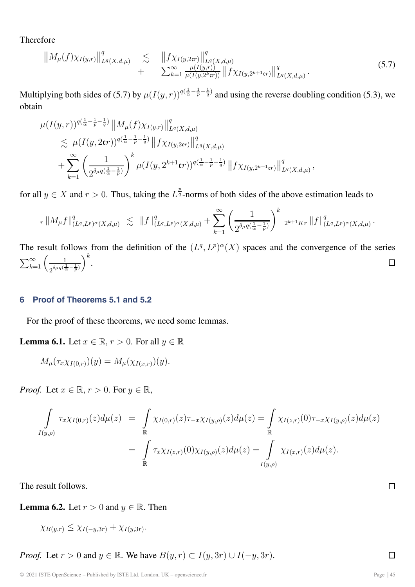Therefore

$$
||M_{\mu}(f)\chi_{I(y,r)}||_{L^{q}(X,d,\mu)}^{q} \leq ||f\chi_{I(y,2\mathfrak{c}r)}||_{L^{q}(X,d,\mu)}^{q} + \sum_{k=1}^{\infty} \frac{\mu(I(y,r))}{\mu(I(y,2^{k}\mathfrak{c}r))} ||f\chi_{I(y,2^{k+1}\mathfrak{c}r)}||_{L^{q}(X,d,\mu)}^{q}.
$$
\n(5.7)

Multiplying both sides of (5.7) by  $\mu(I(y, r))^{q(\frac{1}{\alpha} - \frac{1}{p} - \frac{1}{q})}$  and using the reverse doubling condition (5.3), we obtain obtain

$$
\mu(I(y,r))^{q(\frac{1}{\alpha}-\frac{1}{p}-\frac{1}{q})}\|M_{\mu}(f)\chi_{I(y,r)}\|_{L^{q}(X,d,\mu)}^{q} \n\lesssim \mu(I(y,2\mathfrak{c}r))^{q(\frac{1}{\alpha}-\frac{1}{p}-\frac{1}{q})}\|f\chi_{I(y,2\mathfrak{c}r)}\|_{L^{q}(X,d,\mu)}^{q} \n+ \sum_{k=1}^{\infty} \left(\frac{1}{2^{\delta_{\mu}q(\frac{1}{\alpha}-\frac{1}{p})}}\right)^{k} \mu(I(y,2^{k+1}\mathfrak{c}r))^{q(\frac{1}{\alpha}-\frac{1}{p}-\frac{1}{q})}\|f\chi_{I(y,2^{k+1}\mathfrak{c}r)}\|_{L^{q}(X,d,\mu)}^{q},
$$

for all  $y \in X$  and  $r > 0$ . Thus, taking the  $L^{\frac{p}{q}}$ -norms of both sides of the above estimation leads to

$$
_{r}\left\|M_{\mu}f\right\|_{(L^{q},L^{p})^{\alpha}(X,d,\mu)}^{q} \lesssim \left\|f\right\|_{(L^{q},L^{p})^{\alpha}(X,d,\mu)}^{q} + \sum_{k=1}^{\infty} \left(\frac{1}{2^{\delta_{\mu}q(\frac{1}{\alpha}-\frac{1}{p})}}\right)^{k} 2^{k+1}Kr \left\|f\right\|_{(L^{q},L^{p})^{\alpha}(X,d,\mu)}^{q}.
$$

The result follows from the definition of the  $(L^q, L^p)^\alpha(X)$  spaces and the convergence of the series  $\sum_{k=1}^{\infty} \left( \frac{1}{(d-1)^k} \right)^k$ .  $\sum_{k=1}^{\infty} \left( \frac{1}{2^{\delta_{\mu} q} (\frac{1}{\alpha} - \frac{1}{p})} \right)$  $\bigg)^k$ .

#### **6 Proof of Theorems 5.1 and 5.2**

For the proof of these theorems, we need some lemmas.

**Lemma 6.1.** Let  $x \in \mathbb{R}$ ,  $r > 0$ . For all  $y \in \mathbb{R}$ 

$$
M_{\mu}(\tau_x \chi_{I(0,r)})(y) = M_{\mu}(\chi_{I(x,r)})(y)
$$

*Proof.* Let  $x \in \mathbb{R}$ ,  $r > 0$ . For  $y \in \mathbb{R}$ ,

$$
\int_{I(y,\rho)} \tau_x \chi_{I(0,r)}(z) d\mu(z) = \int_{\mathbb{R}} \chi_{I(0,r)}(z) \tau_{-x} \chi_{I(y,\rho)}(z) d\mu(z) = \int_{\mathbb{R}} \chi_{I(z,r)}(0) \tau_{-x} \chi_{I(y,\rho)}(z) d\mu(z) \n= \int_{\mathbb{R}} \tau_x \chi_{I(z,r)}(0) \chi_{I(y,\rho)}(z) d\mu(z) = \int_{I(y,\rho)} \chi_{I(x,r)}(z) d\mu(z).
$$

The result follows.

**Lemma 6.2.** Let  $r > 0$  and  $y \in \mathbb{R}$ . Then

 $\chi_{B(y,r)} \leq \chi_{I(-y,3r)} + \chi_{I(y,3r)}.$ 

*Proof.* Let  $r > 0$  and  $y \in \mathbb{R}$ . We have  $B(y, r) \subset I(y, 3r) \cup I(-y, 3r)$ .

 $\Box$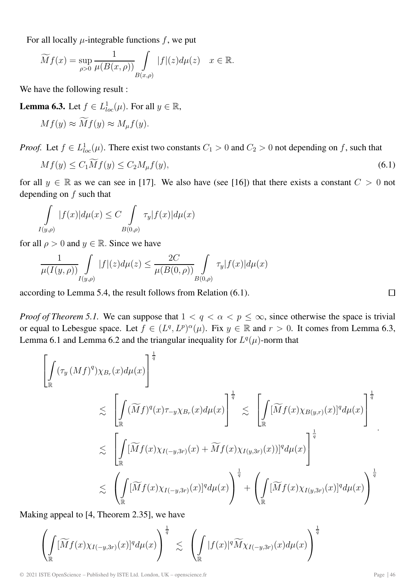For all locally  $\mu$ -integrable functions f, we put

$$
\widetilde{M}f(x) = \sup_{\rho>0} \frac{1}{\mu(B(x,\rho))} \int\limits_{B(x,\rho)} |f|(z)d\mu(z) \quad x \in \mathbb{R}.
$$

We have the following result :

**Lemma 6.3.** Let  $f \in L^1_{loc}(\mu)$ . For all  $y \in \mathbb{R}$ ,

$$
Mf(y) \approx Mf(y) \approx M_{\mu}f(y).
$$

*Proof.* Let  $f \in L^1_{loc}(\mu)$ . There exist two constants  $C_1 > 0$  and  $C_2 > 0$  not depending on f, such that

$$
Mf(y) \le C_1 Mf(y) \le C_2 M_\mu f(y),\tag{6.1}
$$

for all  $y \in \mathbb{R}$  as we can see in [17]. We also have (see [16]) that there exists a constant  $C > 0$  not depending on  $f$  such that

$$
\int_{I(y,\rho)}|f(x)|d\mu(x) \leq C \int_{B(0,\rho)}\tau_y|f(x)|d\mu(x)
$$

for all  $\rho > 0$  and  $y \in \mathbb{R}$ . Since we have

$$
\frac{1}{\mu(I(y,\rho))} \int\limits_{I(y,\rho)} |f|(z) d\mu(z) \le \frac{2C}{\mu(B(0,\rho))} \int\limits_{B(0,\rho)} \tau_y |f(x)| d\mu(x)
$$

according to Lemma 5.4, the result follows from Relation (6.1).

*Proof of Theorem 5.1.* We can suppose that  $1 < q < \alpha < p \leq \infty$ , since otherwise the space is trivial or equal to Lebesgue space. Let  $f \in (L^q, L^p)^\alpha(\mu)$ . Fix  $y \in \mathbb{R}$  and  $r > 0$ . It comes from Lemma 6.3, Lemma 6.1 and Lemma 6.2 and the triangular inequality for  $L<sup>q</sup>(\mu)$ -norm that

$$
\left[\int_{\mathbb{R}} (\tau_y (Mf)^q) \chi_{B_r}(x) d\mu(x) \right]^{\frac{1}{q}}
$$
\n
$$
\lesssim \left[ \int_{\mathbb{R}} (\widetilde{M}f)^q(x) \tau_{-y} \chi_{B_r}(x) d\mu(x) \right]^{\frac{1}{q}} \lesssim \left[ \int_{\mathbb{R}} [\widetilde{M}f(x) \chi_{B(y,r)}(x)]^q d\mu(x) \right]^{\frac{1}{q}}
$$
\n
$$
\lesssim \left[ \int_{\mathbb{R}} [\widetilde{M}f(x) \chi_{I(-y,3r)}(x) + \widetilde{M}f(x) \chi_{I(y,3r)}(x)]^q d\mu(x) \right]^{\frac{1}{q}}
$$
\n
$$
\lesssim \left( \int_{\mathbb{R}} [\widetilde{M}f(x) \chi_{I(-y,3r)}(x)]^q d\mu(x) \right)^{\frac{1}{q}} + \left( \int_{\mathbb{R}} [\widetilde{M}f(x) \chi_{I(y,3r)}(x)]^q d\mu(x) \right)^{\frac{1}{q}}
$$

Making appeal to [4, Theorem 2.35], we have

$$
\left(\int\limits_{\mathbb R}[\widetilde{M}f(x)\chi_{I(-y,3r)}(x)]^q d\mu(x)\right)^{\frac{1}{q}}\lesssim\left(\int\limits_{\mathbb R}|f(x)|^q\widetilde{M}\chi_{I(-y,3r)}(x)d\mu(x)\right)^{\frac{1}{q}}
$$

 $\Box$ 

1 q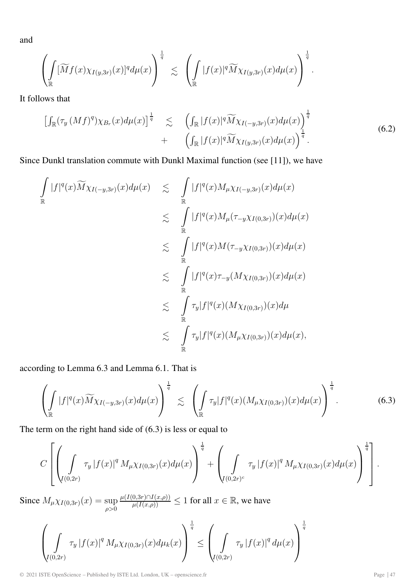and

$$
\left(\int\limits_{\mathbb R}[\widetilde{M}f(x)\chi_{I(y,3r)}(x)]^q d\mu(x)\right)^{\frac{1}{q}}\lesssim\ \left(\int\limits_{\mathbb R}|f(x)|^q\widetilde{M}\chi_{I(y,3r)}(x)d\mu(x)\right)^{\frac{1}{q}}.
$$

It follows that

$$
\begin{aligned}\n\left[\int_{\mathbb{R}}(\tau_y \left(Mf\right)^q)\chi_{B_r}(x)d\mu(x)\right]^{\frac{1}{q}} &\lesssim \left(\int_{\mathbb{R}}|f(x)|^q\widetilde{M}\chi_{I(-y,3r)}(x)d\mu(x)\right)^{\frac{1}{q}} \\
&\quad + \left(\int_{\mathbb{R}}|f(x)|^q\widetilde{M}\chi_{I(y,3r)}(x)d\mu(x)\right)^{\frac{1}{q}}.\n\end{aligned} \tag{6.2}
$$

Since Dunkl translation commute with Dunkl Maximal function (see [11]), we have

$$
\int_{\mathbb{R}} |f|^q(x) \widetilde{M} \chi_{I(-y,3r)}(x) d\mu(x) \leq \int_{\mathbb{R}} |f|^q(x) M_{\mu} \chi_{I(-y,3r)}(x) d\mu(x) \n\leq \int_{\mathbb{R}} |f|^q(x) M_{\mu}(\tau_{-y} \chi_{I(0,3r)})(x) d\mu(x) \n\leq \int_{\mathbb{R}} |f|^q(x) M(\tau_{-y} \chi_{I(0,3r)})(x) d\mu(x) \n\leq \int_{\mathbb{R}} |f|^q(x) \tau_{-y}(M \chi_{I(0,3r)})(x) d\mu(x) \n\leq \int_{\mathbb{R}} \tau_y |f|^q(x) (M \chi_{I(0,3r)})(x) d\mu \n\leq \int_{\mathbb{R}} \tau_y |f|^q(x) (M_{\mu} \chi_{I(0,3r)})(x) d\mu(x),
$$

according to Lemma 6.3 and Lemma 6.1. That is

$$
\left(\int_{\mathbb{R}}|f|^q(x)\widetilde{M}\chi_{I(-y,3r)}(x)d\mu(x)\right)^{\frac{1}{q}}\lesssim\left(\int_{\mathbb{R}}\tau_y|f|^q(x)(M_{\mu}\chi_{I(0,3r)})(x)d\mu(x)\right)^{\frac{1}{q}}.
$$
\n(6.3)

The term on the right hand side of (6.3) is less or equal to

$$
C\left[\left(\int\limits_{I(0,2r)}\tau_y\left|f(x)\right|^q M_\mu \chi_{I(0,3r)}(x)d\mu(x)\right)^{\frac{1}{q}}+\left(\int\limits_{I(0,2r)^c}\tau_y\left|f(x)\right|^q M_\mu \chi_{I(0,3r)}(x)d\mu(x)\right)^{\frac{1}{q}}\right].
$$

Since  $M_{\mu \chi_{I(0,3r)}}(x) = \sup_{\rho > 0}$  $\frac{\mu(I(0,3r) \cap I(x,\rho))}{\mu(I(x,\rho))} \leq 1$  for all  $x \in \mathbb{R}$ , we have

$$
\left(\int_{I(0,2r)} \tau_y |f(x)|^q M_\mu \chi_{I(0,3r)}(x) d\mu_k(x)\right)^{\frac{1}{q}} \le \left(\int_{I(0,2r)} \tau_y |f(x)|^q d\mu(x)\right)^{\frac{1}{q}}
$$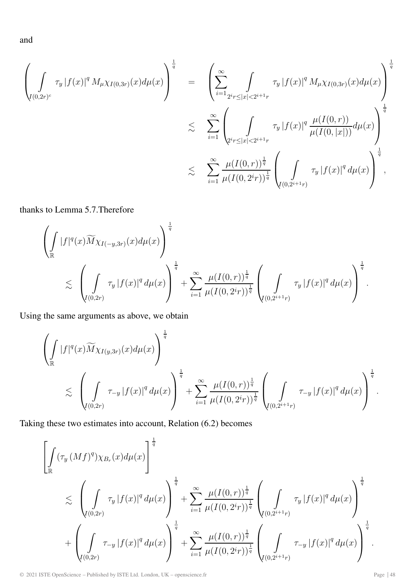and

$$
\left(\int_{I(0,2r)^c} \tau_y |f(x)|^q M_\mu \chi_{I(0,3r)}(x) d\mu(x)\right)^{\frac{1}{q}} = \left(\sum_{i=1}^\infty \int_{2^i r \leq |x| < 2^{i+1}r} \tau_y |f(x)|^q M_\mu \chi_{I(0,3r)}(x) d\mu(x)\right)^{\frac{1}{q}}
$$
\n
$$
\lesssim \sum_{i=1}^\infty \left(\int_{2^i r \leq |x| < 2^{i+1}r} \tau_y |f(x)|^q \frac{\mu(I(0,r))}{\mu(I(0,|x|))} d\mu(x)\right)^{\frac{1}{q}}
$$
\n
$$
\lesssim \sum_{i=1}^\infty \frac{\mu(I(0,r))^{\frac{1}{q}}}{\mu(I(0,2^i r))^{\frac{1}{q}}} \left(\int_{I(0,2^{i+1}r)} \tau_y |f(x)|^q d\mu(x)\right)^{\frac{1}{q}},
$$

thanks to Lemma 5.7.Therefore

$$
\left(\int_{\mathbb{R}}|f|^q(x)\widetilde{M}\chi_{I(-y,3r)}(x)d\mu(x)\right)^{\frac{1}{q}} + \sum_{i=1}^{\infty}\frac{\mu(I(0,r))^{\frac{1}{q}}}{\mu(I(0,2^{i}r))^{\frac{1}{q}}}\left(\int_{I(0,2^{i+1}r)}\tau_{y}|f(x)|^q d\mu(x)\right)^{\frac{1}{q}}.
$$

Using the same arguments as above, we obtain

$$
\left(\int_{\mathbb{R}}|f|^q(x)\widetilde{M}\chi_{I(y,3r)}(x)d\mu(x)\right)^{\frac{1}{q}} + \sum_{i=1}^{\infty}\frac{\mu(I(0,r))^{\frac{1}{q}}}{\mu(I(0,2^{i}r))^{\frac{1}{q}}} \left(\int_{I(0,2^{i+1}r)} \tau_{-y} |f(x)|^q d\mu(x)\right)^{\frac{1}{q}}.
$$

Taking these two estimates into account, Relation (6.2) becomes

$$
\begin{split}\n&\left[\int\limits_{\mathbb{R}} (\tau_y (Mf)^q) \chi_{B_r}(x) d\mu(x)\right]^{\frac{1}{q}} \\
&\lesssim \left(\int\limits_{I(0,2r)} \tau_y |f(x)|^q d\mu(x)\right)^{\frac{1}{q}} + \sum\limits_{i=1}^{\infty} \frac{\mu(I(0,r))^{\frac{1}{q}}}{\mu(I(0,2^i r))^{\frac{1}{q}}} \left(\int\limits_{I(0,2^{i+1}r)} \tau_y |f(x)|^q d\mu(x)\right)^{\frac{1}{q}} \\
&+ \left(\int\limits_{I(0,2r)} \tau_{-y} |f(x)|^q d\mu(x)\right)^{\frac{1}{q}} + \sum\limits_{i=1}^{\infty} \frac{\mu(I(0,r))^{\frac{1}{q}}}{\mu(I(0,2^i r))^{\frac{1}{q}}} \left(\int\limits_{I(0,2^{i+1}r)} \tau_{-y} |f(x)|^q d\mu(x)\right)^{\frac{1}{q}}.\n\end{split}
$$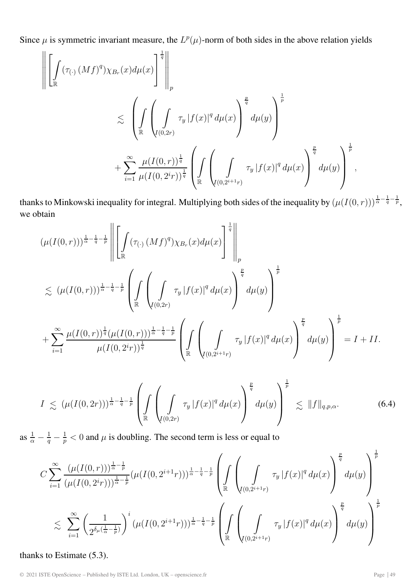Since  $\mu$  is symmetric invariant measure, the  $L^p(\mu)$ -norm of both sides in the above relation yields

$$
\left\| \left[ \int_{\mathbb{R}} (\tau_{(\cdot)} (Mf)^{q}) \chi_{B_r}(x) d\mu(x) \right]^{\frac{1}{q}} \right\|_{p} \leq \left( \int_{\mathbb{R}} \left( \int_{(0,2r)} \tau_{y} |f(x)|^{q} d\mu(x) \right)^{\frac{p}{q}} d\mu(y) \right)^{\frac{1}{p}} + \sum_{i=1}^{\infty} \frac{\mu(I(0,r))^{\frac{1}{q}}}{\mu(I(0,2^{i}r))^{\frac{1}{q}}} \left( \int_{\mathbb{R}} \left( \int_{(0,2^{i+1}r)} \tau_{y} |f(x)|^{q} d\mu(x) \right)^{\frac{p}{q}} d\mu(y) \right)^{\frac{1}{p}},
$$

thanks to Minkowski inequality for integral. Multiplying both sides of the inequality by  $(\mu(I(0,r)))^{\frac{1}{\alpha}-\frac{1}{q}-\frac{1}{p}}$ , we obtain

$$
(\mu(I(0,r)))^{\frac{1}{\alpha}-\frac{1}{q}-\frac{1}{p}} \left\| \left[ \int_{\mathbb{R}} (\tau_{(\cdot)}(Mf)^{q}) \chi_{B_{r}}(x) d\mu(x) \right]^{\frac{1}{q}} \right\|_{p} \n\lesssim (\mu(I(0,r)))^{\frac{1}{\alpha}-\frac{1}{q}-\frac{1}{p}} \left( \int_{\mathbb{R}} \left( \int_{I(0,2r)} \tau_{y} |f(x)|^{q} d\mu(x) \right)^{\frac{p}{q}} d\mu(y) \right)^{\frac{1}{p}} \n+ \sum_{i=1}^{\infty} \frac{\mu(I(0,r))^{\frac{1}{q}} (\mu(I(0,r)))^{\frac{1}{\alpha}-\frac{1}{q}-\frac{1}{p}}}{\mu(I(0,2^{i}r))^{\frac{1}{q}}} \left( \int_{\mathbb{R}} \left( \int_{I(0,2^{i+1}r)} \tau_{y} |f(x)|^{q} d\mu(x) \right)^{\frac{p}{q}} d\mu(y) \right)^{\frac{1}{p}} = I + II.
$$

$$
I \le (\mu(I(0,2r)))^{\frac{1}{\alpha}-\frac{1}{q}-\frac{1}{p}} \left( \int_{\mathbb{R}} \left( \int_{I(0,2r)} \tau_y |f(x)|^q d\mu(x) \right)^{\frac{p}{q}} d\mu(y) \right)^{\frac{1}{p}} \lesssim ||f||_{q,p,\alpha}.
$$
 (6.4)

as  $\frac{1}{\alpha} - \frac{1}{q} - \frac{1}{p} < 0$  and  $\mu$  is doubling. The second term is less or equal to

$$
C \sum_{i=1}^{\infty} \frac{(\mu(I(0,r)))^{\frac{1}{\alpha} - \frac{1}{p}}}{(\mu(I(0, 2^{i}r)))^{\frac{1}{\alpha} - \frac{1}{p}}} (\mu(I(0, 2^{i+1}r)))^{\frac{1}{\alpha} - \frac{1}{q} - \frac{1}{p}} \left( \int_{\mathbb{R}} \left( \int_{I(0, 2^{i+1}r)} \tau_y |f(x)|^q d\mu(x) \right)^{\frac{p}{q}} d\mu(y) \right)^{\frac{1}{p}}
$$
  

$$
\lesssim \sum_{i=1}^{\infty} \left( \frac{1}{2^{\delta_{\mu}(\frac{1}{\alpha} - \frac{1}{p})}} \right)^i (\mu(I(0, 2^{i+1}r)))^{\frac{1}{\alpha} - \frac{1}{q} - \frac{1}{p}} \left( \int_{\mathbb{R}} \left( \int_{I(0, 2^{i+1}r)} \tau_y |f(x)|^q d\mu(x) \right)^{\frac{p}{q}} d\mu(y) \right)^{\frac{1}{p}}
$$

thanks to Estimate (5.3).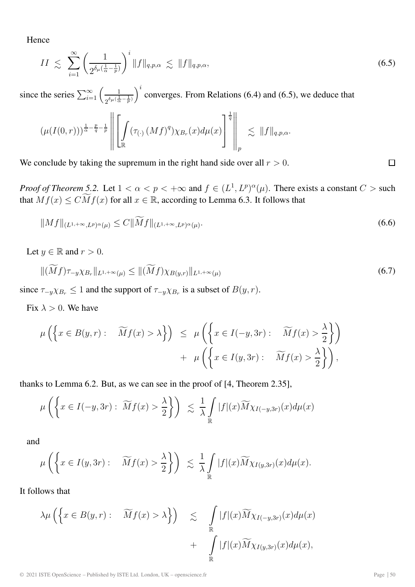Hence

$$
II \leq \sum_{i=1}^{\infty} \left( \frac{1}{2^{\delta_{\mu}(\frac{1}{\alpha} - \frac{1}{p})}} \right)^i \|f\|_{q, p, \alpha} \leq \|f\|_{q, p, \alpha}, \tag{6.5}
$$

since the series  $\sum_{i=1}^{\infty} \left( \frac{1}{2^{\delta \mu (\frac{1}{\alpha} - \frac{1}{p})}} \right)$  $i$  converges. From Relations (6.4) and (6.5), we deduce that

$$
(\mu(I(0,r)))^{\frac{1}{\alpha}-\frac{p}{q}-\frac{1}{p}}\left\|\left[\int\limits_{\mathbb{R}}(\tau_{(\cdot)}(Mf)^q)\chi_{B_r}(x)d\mu(x)\right]^{\frac{1}{q}}\right\|_p\lesssim \|f\|_{q,p,\alpha}.
$$

We conclude by taking the supremum in the right hand side over all  $r > 0$ .

*Proof of Theorem 5.2.* Let  $1 < \alpha < p < +\infty$  and  $f \in (L^1, L^p)^\alpha(\mu)$ . There exists a constant  $C > \text{such}$ that  $Mf(x) \leq C \widetilde{M}f(x)$  for all  $x \in \mathbb{R}$ , according to Lemma 6.3. It follows that

$$
||Mf||_{(L^{1,+\infty},L^p)^{\alpha}(\mu)} \leq C||\widetilde{M}f||_{(L^{1,+\infty},L^p)^{\alpha}(\mu)}.
$$
\n(6.6)

Let  $y \in \mathbb{R}$  and  $r > 0$ .

$$
\|(\widetilde{M}f)\tau_{-y}\chi_{B_r}\|_{L^{1,+\infty}(\mu)} \le \|\widetilde{(M}f)\chi_{B(y,r)}\|_{L^{1,+\infty}(\mu)}
$$
\n(6.7)

since  $\tau_{-y}\chi_{B_r} \leq 1$  and the support of  $\tau_{-y}\chi_{B_r}$  is a subset of  $B(y, r)$ .

Fix  $\lambda > 0$ . We have

$$
\mu\left(\left\{x \in B(y,r): \quad \widetilde{M}f(x) > \lambda\right\}\right) \leq \mu\left(\left\{x \in I(-y,3r): \quad \widetilde{M}f(x) > \frac{\lambda}{2}\right\}\right) + \mu\left(\left\{x \in I(y,3r): \quad \widetilde{M}f(x) > \frac{\lambda}{2}\right\}\right),
$$

thanks to Lemma 6.2. But, as we can see in the proof of [4, Theorem 2.35],

$$
\mu\left(\left\{x \in I(-y,3r): \ \widetilde{M}f(x) > \frac{\lambda}{2}\right\}\right) \ \lesssim \ \frac{1}{\lambda}\int\limits_{\mathbb{R}}|f|(x)\widetilde{M}\chi_{I(-y,3r)}(x)d\mu(x)
$$

and

$$
\mu\left(\left\{x \in I(y,3r): \quad \widetilde{M}f(x) > \frac{\lambda}{2}\right\}\right) \leq \frac{1}{\lambda} \int\limits_{\mathbb{R}} |f|(x) \widetilde{M} \chi_{I(y,3r)}(x) d\mu(x).
$$

It follows that

$$
\lambda \mu \left( \left\{ x \in B(y,r) : \overline{M}f(x) > \lambda \right\} \right) \leq \int_{\mathbb{R}} |f|(x) \widetilde{M} \chi_{I(-y,3r)}(x) d\mu(x) + \int_{\mathbb{R}} |f|(x) \widetilde{M} \chi_{I(y,3r)}(x) d\mu(x),
$$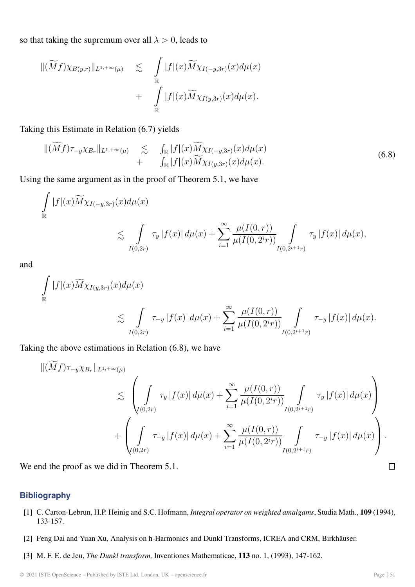so that taking the supremum over all  $\lambda > 0$ , leads to

$$
\begin{array}{rcl}\n\|(\widetilde{M}f)\chi_{B(y,r)}\|_{L^{1,+\infty}(\mu)} & \lesssim \quad & \displaystyle\int\limits_{\mathbb{R}} |f|(x)\widetilde{M}\chi_{I(-y,3r)}(x)d\mu(x) \\
& \qquad \qquad + \quad & \displaystyle\int\limits_{\mathbb{R}} |f|(x)\widetilde{M}\chi_{I(y,3r)}(x)d\mu(x).\n\end{array}
$$

Taking this Estimate in Relation (6.7) yields

$$
\begin{array}{rcl}\n\|(\widetilde{M}f)\tau_{-y}\chi_{B_r}\|_{L^{1,+\infty}(\mu)} & \lesssim & \int_{\mathbb{R}}|f|(x)\widetilde{M}\chi_{I(-y,3r)}(x)d\mu(x) \\
& &+ & \int_{\mathbb{R}}|f|(x)\widetilde{M}\chi_{I(y,3r)}(x)d\mu(x).\n\end{array} \tag{6.8}
$$

Using the same argument as in the proof of Theorem 5.1, we have

$$
\int_{\mathbb{R}} |f|(x) \widetilde{M} \chi_{I(-y,3r)}(x) d\mu(x) \leq \int_{I(0,2r)} \tau_y |f(x)| d\mu(x) + \sum_{i=1}^{\infty} \frac{\mu(I(0,r))}{\mu(I(0,2^{i}r))} \int_{I(0,2^{i+1}r)} \tau_y |f(x)| d\mu(x),
$$

and

$$
\int_{\mathbb{R}} |f|(x) \widetilde{M} \chi_{I(y,3r)}(x) d\mu(x) \n\lesssim \int_{I(0,2r)} \tau_{-y} |f(x)| d\mu(x) + \sum_{i=1}^{\infty} \frac{\mu(I(0,r))}{\mu(I(0,2^{i}r))} \int_{I(0,2^{i+1}r)} \tau_{-y} |f(x)| d\mu(x).
$$

Taking the above estimations in Relation (6.8), we have

$$
\| (Mf) \tau_{-y} \chi_{B_r} \|_{L^{1,+\infty}(\mu)} \leq \left( \int_{I(0,2r)} \tau_y |f(x)| d\mu(x) + \sum_{i=1}^{\infty} \frac{\mu(I(0,r))}{\mu(I(0,2^{i}r))} \int_{I(0,2^{i+1}r)} \tau_y |f(x)| d\mu(x) \right) + \left( \int_{I(0,2r)} \tau_{-y} |f(x)| d\mu(x) + \sum_{i=1}^{\infty} \frac{\mu(I(0,r))}{\mu(I(0,2^{i}r))} \int_{I(0,2^{i+1}r)} \tau_{-y} |f(x)| d\mu(x) \right).
$$

We end the proof as we did in Theorem 5.1.

### **Bibliography**

- [1] C. Carton-Lebrun, H.P. Heinig and S.C. Hofmann, *Integral operator on weighted amalgams*, Studia Math., **109** (1994), 133-157.
- [2] Feng Dai and Yuan Xu, Analysis on h-Harmonics and Dunkl Transforms, ICREA and CRM, Birkhäuser.
- [3] M. F. E. de Jeu, *The Dunkl transform,* Inventiones Mathematicae, **113** no. 1, (1993), 147-162.